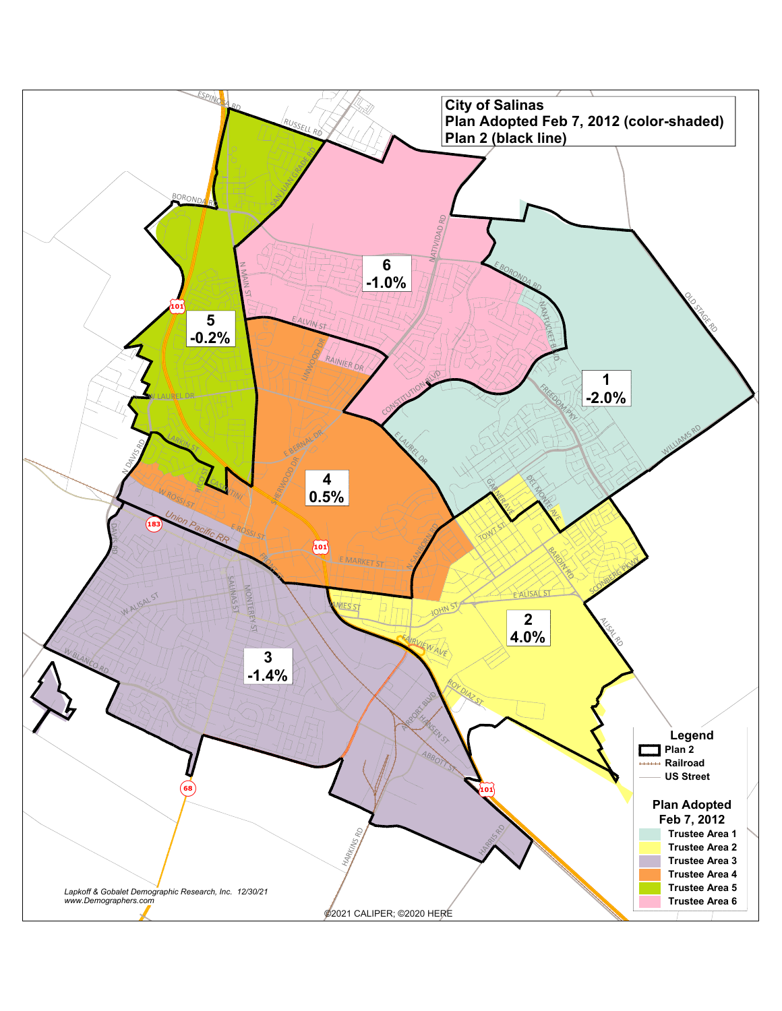